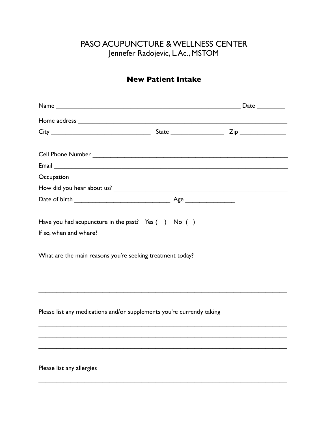## PASO ACUPUNCTURE & WELLNESS CENTER Jennefer Radojevic, L.Ac., MSTOM

## **New Patient Intake**

| Have you had acupuncture in the past? Yes $( )$ No $( )$               |  |
|------------------------------------------------------------------------|--|
|                                                                        |  |
| What are the main reasons you're seeking treatment today?              |  |
|                                                                        |  |
|                                                                        |  |
| Please list any medications and/or supplements you're currently taking |  |
|                                                                        |  |
|                                                                        |  |
|                                                                        |  |
| Please list any allergies                                              |  |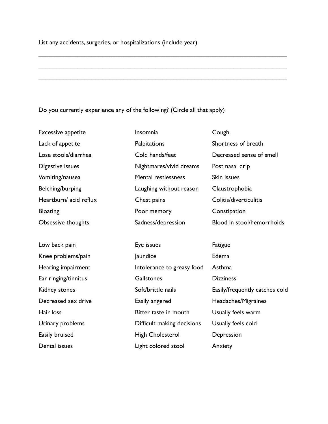List any accidents, surgeries, or hospitalizations (include year)

## Do you currently experience any of the following? (Circle all that apply)

Excessive appetite **Insomnia** Cough Lack of appetite **Palpitations** Palpitations Shortness of breath Digestive issues Nightmares/vivid dreams Post nasal drip Vomiting/nausea Mental restlessness Skin issues Belching/burping **Laughing without reason** Claustrophobia Heartburn/ acid reflux Chest pains Colitis/diverticulitis Bloating **Poor memory** Constipation

Low back pain **Eye** issues Fatigue

\_\_\_\_\_\_\_\_\_\_\_\_\_\_\_\_\_\_\_\_\_\_\_\_\_\_\_\_\_\_\_\_\_\_\_\_\_\_\_\_\_\_\_\_\_\_\_\_\_\_\_\_\_\_\_\_\_\_\_\_\_\_\_\_\_\_\_\_\_\_

\_\_\_\_\_\_\_\_\_\_\_\_\_\_\_\_\_\_\_\_\_\_\_\_\_\_\_\_\_\_\_\_\_\_\_\_\_\_\_\_\_\_\_\_\_\_\_\_\_\_\_\_\_\_\_\_\_\_\_\_\_\_\_\_\_\_\_\_\_\_

\_\_\_\_\_\_\_\_\_\_\_\_\_\_\_\_\_\_\_\_\_\_\_\_\_\_\_\_\_\_\_\_\_\_\_\_\_\_\_\_\_\_\_\_\_\_\_\_\_\_\_\_\_\_\_\_\_\_\_\_\_\_\_\_\_\_\_\_\_\_

Knee problems/pain and all and laundice and the Edema Hearing impairment **Intolerance to greasy food** Asthma Ear ringing/tinnitus Gallstones Dizziness Decreased sex drive **Easily angered** Headaches/Migraines Hair loss **Bitter taste in mouth** Usually feels warm Urinary problems **Difficult making decisions** Usually feels cold Easily bruised **Easily bruised** High Cholesterol **Depression** Dental issues **Light colored stool** Anxiety

Lose stools/diarrhea Cold hands/feet Decreased sense of smell Obsessive thoughts Sadness/depression Blood in stool/hemorrhoids

Kidney stones **Soft/brittle nails** Easily/frequently catches cold